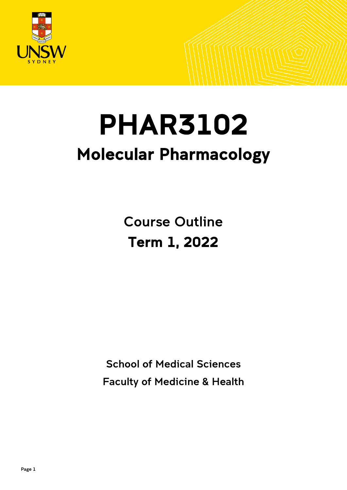

# PHAR3102 Molecular Pharmacology

Course Outline Term 1, 2022

School of Medical Sciences Faculty of Medicine & Health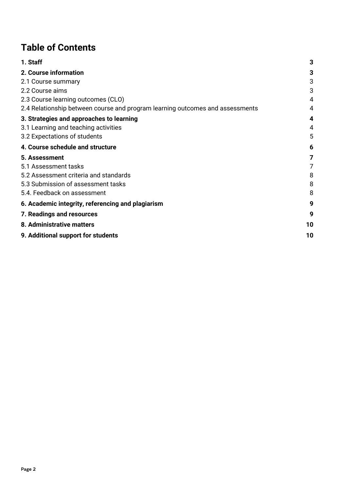# **Table of Contents**

| 1. Staff                                                                      | 3  |
|-------------------------------------------------------------------------------|----|
| 2. Course information                                                         | 3  |
| 2.1 Course summary                                                            | 3  |
| 2.2 Course aims                                                               | 3  |
| 2.3 Course learning outcomes (CLO)                                            | 4  |
| 2.4 Relationship between course and program learning outcomes and assessments | 4  |
| 3. Strategies and approaches to learning                                      | 4  |
| 3.1 Learning and teaching activities                                          | 4  |
| 3.2 Expectations of students                                                  | 5  |
| 4. Course schedule and structure                                              | 6  |
| 5. Assessment                                                                 | 7  |
| 5.1 Assessment tasks                                                          | 7  |
| 5.2 Assessment criteria and standards                                         | 8  |
| 5.3 Submission of assessment tasks                                            | 8  |
| 5.4. Feedback on assessment                                                   | 8  |
| 6. Academic integrity, referencing and plagiarism                             | 9  |
| 7. Readings and resources                                                     | 9  |
| 8. Administrative matters                                                     | 10 |
| 9. Additional support for students                                            | 10 |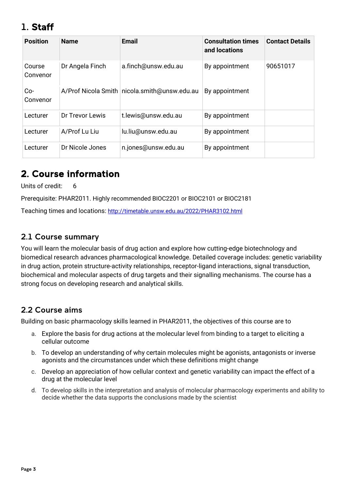# <span id="page-2-0"></span>1. Staff

| <b>Position</b>    | <b>Name</b>     | <b>Email</b>                                   | <b>Consultation times</b><br>and locations | <b>Contact Details</b> |
|--------------------|-----------------|------------------------------------------------|--------------------------------------------|------------------------|
| Course<br>Convenor | Dr Angela Finch | a.finch@unsw.edu.au                            | By appointment                             | 90651017               |
| $Co-$<br>Convenor  |                 | A/Prof Nicola Smith   nicola.smith@unsw.edu.au | By appointment                             |                        |
| Lecturer           | Dr Trevor Lewis | t.lewis@unsw.edu.au                            | By appointment                             |                        |
| Lecturer           | A/Prof Lu Liu   | lu.liu@unsw.edu.au                             | By appointment                             |                        |
| Lecturer           | Dr Nicole Jones | n.jones@unsw.edu.au                            | By appointment                             |                        |

# <span id="page-2-1"></span>2. Course information

Units of credit: 6

Prerequisite: PHAR2011. Highly recommended BIOC2201 or BIOC2101 or BIOC2181

Teaching times and locations:<http://timetable.unsw.edu.au/2022/PHAR3102.html>

## <span id="page-2-2"></span>2.1 Course summary

You will learn the molecular basis of drug action and explore how cutting-edge biotechnology and biomedical research advances pharmacological knowledge. Detailed coverage includes: genetic variability in drug action, protein structure-activity relationships, receptor-ligand interactions, signal transduction, biochemical and molecular aspects of drug targets and their signalling mechanisms. The course has a strong focus on developing research and analytical skills.

## <span id="page-2-3"></span>2.2 Course aims

Building on basic pharmacology skills learned in PHAR2011, the objectives of this course are to

- a. Explore the basis for drug actions at the molecular level from binding to a target to eliciting a cellular outcome
- b. To develop an understanding of why certain molecules might be agonists, antagonists or inverse agonists and the circumstances under which these definitions might change
- c. Develop an appreciation of how cellular context and genetic variability can impact the effect of a drug at the molecular level
- d. To develop skills in the interpretation and analysis of molecular pharmacology experiments and ability to decide whether the data supports the conclusions made by the scientist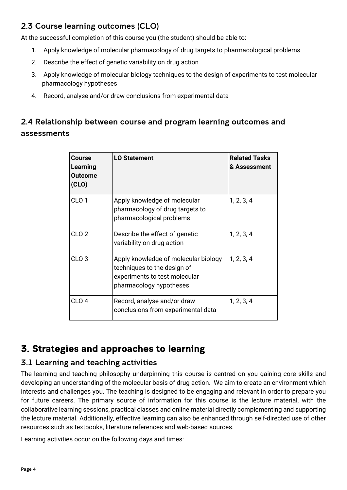## <span id="page-3-0"></span>2.3 Course learning outcomes (CLO)

At the successful completion of this course you (the student) should be able to:

- 1. Apply knowledge of molecular pharmacology of drug targets to pharmacological problems
- 2. Describe the effect of genetic variability on drug action
- 3. Apply knowledge of molecular biology techniques to the design of experiments to test molecular pharmacology hypotheses
- 4. Record, analyse and/or draw conclusions from experimental data

## <span id="page-3-1"></span>2.4 Relationship between course and program learning outcomes and assessments

| <b>Course</b><br>Learning<br><b>Outcome</b><br>(CLO) | <b>LO Statement</b>                                                                                                             | <b>Related Tasks</b><br>& Assessment |
|------------------------------------------------------|---------------------------------------------------------------------------------------------------------------------------------|--------------------------------------|
| CLO <sub>1</sub>                                     | Apply knowledge of molecular<br>pharmacology of drug targets to<br>pharmacological problems                                     | 1, 2, 3, 4                           |
| CLO <sub>2</sub>                                     | Describe the effect of genetic<br>variability on drug action                                                                    | 1, 2, 3, 4                           |
| CLO <sub>3</sub>                                     | Apply knowledge of molecular biology<br>techniques to the design of<br>experiments to test molecular<br>pharmacology hypotheses | 1, 2, 3, 4                           |
| CLO <sub>4</sub>                                     | Record, analyse and/or draw<br>conclusions from experimental data                                                               | 1, 2, 3, 4                           |

## <span id="page-3-2"></span>3. Strategies and approaches to learning

## <span id="page-3-3"></span>3.1 Learning and teaching activities

The learning and teaching philosophy underpinning this course is centred on you gaining core skills and developing an understanding of the molecular basis of drug action. We aim to create an environment which interests and challenges you. The teaching is designed to be engaging and relevant in order to prepare you for future careers. The primary source of information for this course is the lecture material, with the collaborative learning sessions, practical classes and online material directly complementing and supporting the lecture material. Additionally, effective learning can also be enhanced through self-directed use of other resources such as textbooks, literature references and web-based sources.

Learning activities occur on the following days and times: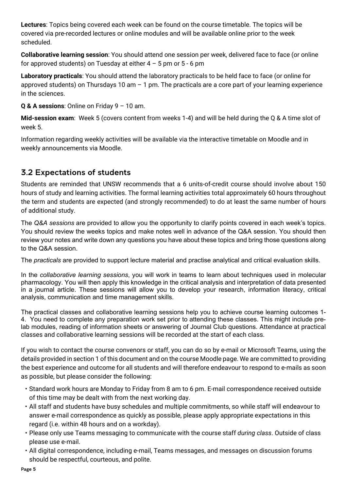**Lectures**: Topics being covered each week can be found on the course timetable. The topics will be covered via pre-recorded lectures or online modules and will be available online prior to the week scheduled.

**Collaborative learning session**: You should attend one session per week, delivered face to face (or online for approved students) on Tuesday at either  $4 - 5$  pm or  $5 - 6$  pm

**Laboratory practicals**: You should attend the laboratory practicals to be held face to face (or online for approved students) on Thursdays 10 am  $-$  1 pm. The practicals are a core part of your learning experience in the sciences.

**Q & A sessions**: Online on Friday 9 – 10 am.

**Mid-session exam**: Week 5 (covers content from weeks 1-4) and will be held during the Q & A time slot of week 5.

Information regarding weekly activities will be available via the interactive timetable on Moodle and in weekly announcements via Moodle.

## <span id="page-4-0"></span>3.2 Expectations of students

Students are reminded that UNSW recommends that a 6 units-of-credit course should involve about 150 hours of study and learning activities. The formal learning activities total approximately 60 hours throughout the term and students are expected (and strongly recommended) to do at least the same number of hours of additional study.

The *Q&A sessions* are provided to allow you the opportunity to clarify points covered in each week's topics. You should review the weeks topics and make notes well in advance of the Q&A session. You should then review your notes and write down any questions you have about these topics and bring those questions along to the Q&A session.

The *practicals* are provided to support lecture material and practise analytical and critical evaluation skills.

In the *collaborative learning sessions*, you will work in teams to learn about techniques used in molecular pharmacology. You will then apply this knowledge in the critical analysis and interpretation of data presented in a journal article. These sessions will allow you to develop your research, information literacy, critical analysis, communication and time management skills.

The practical classes and collaborative learning sessions help you to achieve course learning outcomes 1- 4. You need to complete any preparation work set prior to attending these classes. This might include prelab modules, reading of information sheets or answering of Journal Club questions. Attendance at practical classes and collaborative learning sessions will be recorded at the start of each class.

If you wish to contact the course convenors or staff, you can do so by e-mail or Microsoft Teams, using the details provided in section 1 of this document and on the course Moodle page. We are committed to providing the best experience and outcome for all students and will therefore endeavour to respond to e-mails as soon as possible, but please consider the following:

- Standard work hours are Monday to Friday from 8 am to 6 pm. E-mail correspondence received outside of this time may be dealt with from the next working day.
- All staff and students have busy schedules and multiple commitments, so while staff will endeavour to answer e-mail correspondence as quickly as possible, please apply appropriate expectations in this regard (i.e. within 48 hours and on a workday).
- Please only use Teams messaging to communicate with the course staff *during class*. Outside of class please use e-mail.
- All digital correspondence, including e-mail, Teams messages, and messages on discussion forums should be respectful, courteous, and polite.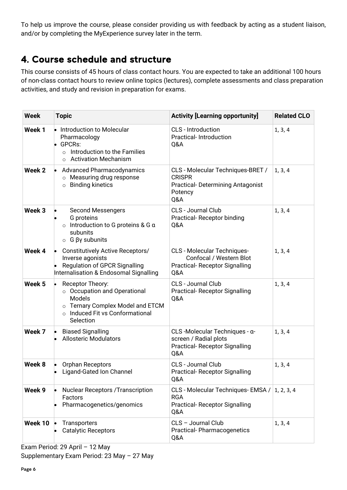To help us improve the course, please consider providing us with feedback by acting as a student liaison, and/or by completing the MyExperience survey later in the term.

# <span id="page-5-0"></span>4. Course schedule and structure

This course consists of 45 hours of class contact hours. You are expected to take an additional 100 hours of non-class contact hours to review online topics (lectures), complete assessments and class preparation activities, and study and revision in preparation for exams.

| <b>Week</b>     | <b>Topic</b>                                                                                                                                                | <b>Activity [Learning opportunity]</b>                                                                           | <b>Related CLO</b> |
|-----------------|-------------------------------------------------------------------------------------------------------------------------------------------------------------|------------------------------------------------------------------------------------------------------------------|--------------------|
| Week 1          | • Introduction to Molecular<br>Pharmacology<br><b>GPCRs:</b><br>Introduction to the Families<br>$\Omega$<br><b>Activation Mechanism</b><br>$\circ$          | CLS - Introduction<br><b>Practical-Introduction</b><br>Q&A                                                       | 1, 3, 4            |
| Week 2          | <b>Advanced Pharmacodynamics</b><br>o Measuring drug response<br>○ Binding kinetics                                                                         | CLS - Molecular Techniques-BRET /<br><b>CRISPR</b><br><b>Practical- Determining Antagonist</b><br>Potency<br>Q&A | 1, 3, 4            |
| Week 3          | <b>Second Messengers</b><br>G proteins<br>$\circ$ Introduction to G proteins & G $\alpha$<br>subunits<br>$\circ$ G $\beta$ y subunits                       | <b>CLS - Journal Club</b><br>Practical-Receptor binding<br>Q&A                                                   | 1, 3, 4            |
| Week 4          | <b>Constitutively Active Receptors/</b><br>Inverse agonists<br><b>Regulation of GPCR Signalling</b><br>Internalisation & Endosomal Signalling               | <b>CLS - Molecular Techniques-</b><br>Confocal / Western Blot<br><b>Practical- Receptor Signalling</b><br>Q&A    | 1, 3, 4            |
| Week 5          | Receptor Theory:<br>$\circ$ Occupation and Operational<br><b>Models</b><br>o Ternary Complex Model and ETCM<br>o Induced Fit vs Conformational<br>Selection | <b>CLS - Journal Club</b><br><b>Practical- Receptor Signalling</b><br>Q&A                                        | 1, 3, 4            |
| Week 7          | • Biased Signalling<br><b>Allosteric Modulators</b>                                                                                                         | CLS-Molecular Techniques - a-<br>screen / Radial plots<br><b>Practical- Receptor Signalling</b><br>Q&A           | 1, 3, 4            |
| Week 8          | Orphan Receptors<br>Ligand-Gated Ion Channel                                                                                                                | <b>CLS - Journal Club</b><br><b>Practical- Receptor Signalling</b><br>Q&A                                        | 1, 3, 4            |
| Week 9          | <b>Nuclear Receptors /Transcription</b><br>Factors<br>Pharmacogenetics/genomics                                                                             | CLS - Molecular Techniques-EMSA /<br><b>RGA</b><br><b>Practical- Receptor Signalling</b><br>Q&A                  | 1, 2, 3, 4         |
| Week 10 $\cdot$ | Transporters<br><b>Catalytic Receptors</b>                                                                                                                  | CLS - Journal Club<br><b>Practical-Pharmacogenetics</b><br>Q&A                                                   | 1, 3, 4            |

Exam Period: 29 April – 12 May Supplementary Exam Period: 23 May – 27 May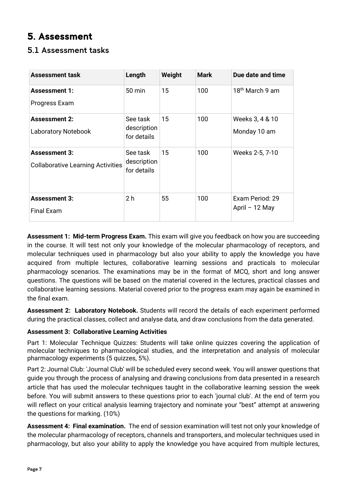# <span id="page-6-0"></span>5. Assessment

## <span id="page-6-1"></span>5.1 Assessment tasks

| <b>Assessment task</b>                                           | Length                                 | Weight | <b>Mark</b> | Due date and time                 |
|------------------------------------------------------------------|----------------------------------------|--------|-------------|-----------------------------------|
| <b>Assessment 1:</b><br>Progress Exam                            | 50 min                                 | 15     | 100         | 18 <sup>th</sup> March 9 am       |
| <b>Assessment 2:</b><br><b>Laboratory Notebook</b>               | See task<br>description<br>for details | 15     | 100         | Weeks 3, 4 & 10<br>Monday 10 am   |
| <b>Assessment 3:</b><br><b>Collaborative Learning Activities</b> | See task<br>description<br>for details | 15     | 100         | Weeks 2-5, 7-10                   |
| <b>Assessment 3:</b><br>Final Exam                               | 2 <sub>h</sub>                         | 55     | 100         | Exam Period: 29<br>April - 12 May |

**Assessment 1: Mid-term Progress Exam.** This exam will give you feedback on how you are succeeding in the course. It will test not only your knowledge of the molecular pharmacology of receptors, and molecular techniques used in pharmacology but also your ability to apply the knowledge you have acquired from multiple lectures, collaborative learning sessions and practicals to molecular pharmacology scenarios. The examinations may be in the format of MCQ, short and long answer questions. The questions will be based on the material covered in the lectures, practical classes and collaborative learning sessions. Material covered prior to the progress exam may again be examined in the final exam.

**Assessment 2: Laboratory Notebook.** Students will record the details of each experiment performed during the practical classes, collect and analyse data, and draw conclusions from the data generated.

#### **Assessment 3: Collaborative Learning Activities**

Part 1: Molecular Technique Quizzes: Students will take online quizzes covering the application of molecular techniques to pharmacological studies, and the interpretation and analysis of molecular pharmacology experiments (5 quizzes, 5%).

Part 2: Journal Club: 'Journal Club' will be scheduled every second week. You will answer questions that guide you through the process of analysing and drawing conclusions from data presented in a research article that has used the molecular techniques taught in the collaborative learning session the week before. You will submit answers to these questions prior to each 'journal club'. At the end of term you will reflect on your critical analysis learning trajectory and nominate your "best" attempt at answering the questions for marking. (10%)

**Assessment 4: Final examination.** The end of session examination will test not only your knowledge of the molecular pharmacology of receptors, channels and transporters, and molecular techniques used in pharmacology, but also your ability to apply the knowledge you have acquired from multiple lectures,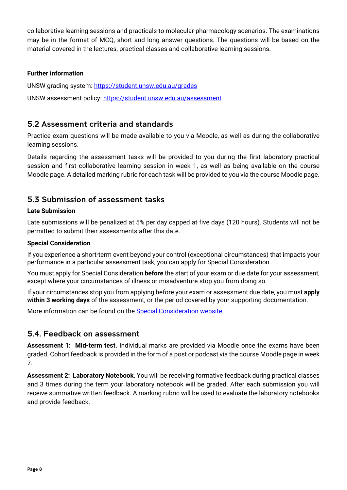collaborative learning sessions and practicals to molecular pharmacology scenarios. The examinations may be in the format of MCQ, short and long answer questions. The questions will be based on the material covered in the lectures, practical classes and collaborative learning sessions.

#### **Further information**

UNSW grading system:<https://student.unsw.edu.au/grades>

UNSW assessment policy:<https://student.unsw.edu.au/assessment>

#### <span id="page-7-0"></span>5.2 Assessment criteria and standards

Practice exam questions will be made available to you via Moodle, as well as during the collaborative learning sessions.

Details regarding the assessment tasks will be provided to you during the first laboratory practical session and first collaborative learning session in week 1, as well as being available on the course Moodle page. A detailed marking rubric for each task will be provided to you via the course Moodle page.

#### <span id="page-7-1"></span>5.3 Submission of assessment tasks

#### **Late Submission**

Late submissions will be penalized at 5% per day capped at five days (120 hours). Students will not be permitted to submit their assessments after this date.

#### **Special Consideration**

If you experience a short-term event beyond your control (exceptional circumstances) that impacts your performance in a particular assessment task, you can apply for Special Consideration.

You must apply for Special Consideration **before** the start of your exam or due date for your assessment, except where your circumstances of illness or misadventure stop you from doing so.

If your circumstances stop you from applying before your exam or assessment due date, you must **apply within 3 working days** of the assessment, or the period covered by your supporting documentation.

More information can be found on the [Special Consideration website.](https://www.student.unsw.edu.au/special-consideration)

#### <span id="page-7-2"></span>5.4. Feedback on assessment

**Assessment 1: Mid-term test.** Individual marks are provided via Moodle once the exams have been graded. Cohort feedback is provided in the form of a post or podcast via the course Moodle page in week 7.

**Assessment 2: Laboratory Notebook**. You will be receiving formative feedback during practical classes and 3 times during the term your laboratory notebook will be graded. After each submission you will receive summative written feedback. A marking rubric will be used to evaluate the laboratory notebooks and provide feedback.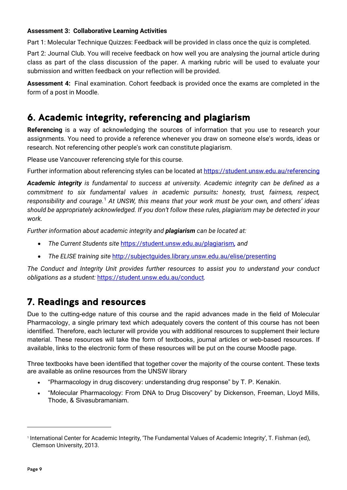#### **Assessment 3: Collaborative Learning Activities**

Part 1: Molecular Technique Quizzes: Feedback will be provided in class once the quiz is completed.

Part 2: Journal Club. You will receive feedback on how well you are analysing the journal article during class as part of the class discussion of the paper. A marking rubric will be used to evaluate your submission and written feedback on your reflection will be provided.

**Assessment 4:** Final examination. Cohort feedback is provided once the exams are completed in the form of a post in Moodle.

## <span id="page-8-0"></span>6. Academic integrity, referencing and plagiarism

**Referencing** is a way of acknowledging the sources of information that you use to research your assignments. You need to provide a reference whenever you draw on someone else's words, ideas or research. Not referencing other people's work can constitute plagiarism.

Please use Vancouver referencing style for this course.

Further information about referencing styles can be located a[t https://student.unsw.edu.au/referencing](https://student.unsw.edu.au/referencing)

*Academic integrity is fundamental to success at university. Academic integrity can be defined as a commitment to six fundamental values in academic pursuits: honesty, trust, fairness, respect, responsibility and courage.*[1](#page-8-2) *At UNSW, this means that your work must be your own, and others' ideas should be appropriately acknowledged. If you don't follow these rules, plagiarism may be detected in your work.* 

*Further information about academic integrity and plagiarism can be located at:*

- *The Current Students site* <https://student.unsw.edu.au/plagiarism>*, and*
- *The ELISE training site* <http://subjectguides.library.unsw.edu.au/elise/presenting>

*The Conduct and Integrity Unit provides further resources to assist you to understand your conduct obligations as a student:* <https://student.unsw.edu.au/conduct>*.*

## <span id="page-8-1"></span>7. Readings and resources

Due to the cutting-edge nature of this course and the rapid advances made in the field of Molecular Pharmacology, a single primary text which adequately covers the content of this course has not been identified. Therefore, each lecturer will provide you with additional resources to supplement their lecture material. These resources will take the form of textbooks, journal articles or web-based resources. If available, links to the electronic form of these resources will be put on the course Moodle page.

Three textbooks have been identified that together cover the majority of the course content. These texts are available as online resources from the UNSW library

- "Pharmacology in drug discovery: understanding drug response" by T. P. Kenakin.
- "Molecular Pharmacology: From DNA to Drug Discovery" by Dickenson, Freeman, Lloyd Mills, Thode, & Sivasubramaniam.

<span id="page-8-2"></span><sup>1</sup> International Center for Academic Integrity, 'The Fundamental Values of Academic Integrity', T. Fishman (ed), Clemson University, 2013.